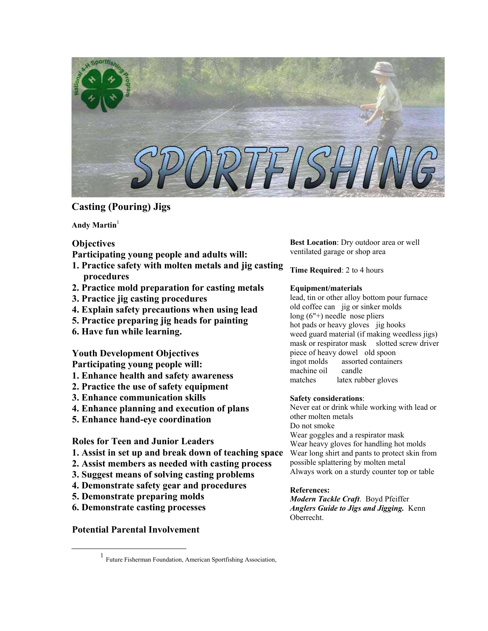

# **Casting (Pouring) Jigs**

Andy Martin<sup>[1](#page-0-0)</sup>

## **Objectives**

**Participating young people and adults will:** 

- **1. Practice safety with molten metals and jig casting procedures**
- **2. Practice mold preparation for casting metals**
- **3. Practice jig casting procedures**
- **4. Explain safety precautions when using lead**
- **5. Practice preparing jig heads for painting**
- **6. Have fun while learning.**

## **Youth Development Objectives Participating young people will:**

- **1. Enhance health and safety awareness**
- **2. Practice the use of safety equipment**
- **3. Enhance communication skills**
- **4. Enhance planning and execution of plans**
- **5. Enhance hand-eye coordination**

**Roles for Teen and Junior Leaders** 

- **1. Assist in set up and break down of teaching space**
- **2. Assist members as needed with casting process**
- **3. Suggest means of solving casting problems**
- **4. Demonstrate safety gear and procedures**
- **5. Demonstrate preparing molds**
- **6. Demonstrate casting processes**

**Potential Parental Involvement** 

**Best Location**: Dry outdoor area or well ventilated garage or shop area

**Time Required**: 2 to 4 hours

## **Equipment/materials**

lead, tin or other alloy bottom pour furnace old coffee can jig or sinker molds long (6"+) needle nose pliers hot pads or heavy gloves jig hooks weed guard material (if making weedless jigs) mask or respirator mask slotted screw driver piece of heavy dowel old spoon ingot molds assorted containers machine oil candle matches latex rubber gloves

## **Safety considerations**:

Never eat or drink while working with lead or other molten metals Do not smoke Wear goggles and a respirator mask Wear heavy gloves for handling hot molds Wear long shirt and pants to protect skin from possible splattering by molten metal Always work on a sturdy counter top or table

### **References:**

*Modern Tackle Craft*. Boyd Pfeiffer *Anglers Guide to Jigs and Jigging.* Kenn Oberrecht.

<span id="page-0-0"></span><sup>&</sup>lt;u>1</u> Future Fisherman Foundation, American Sportfishing Association,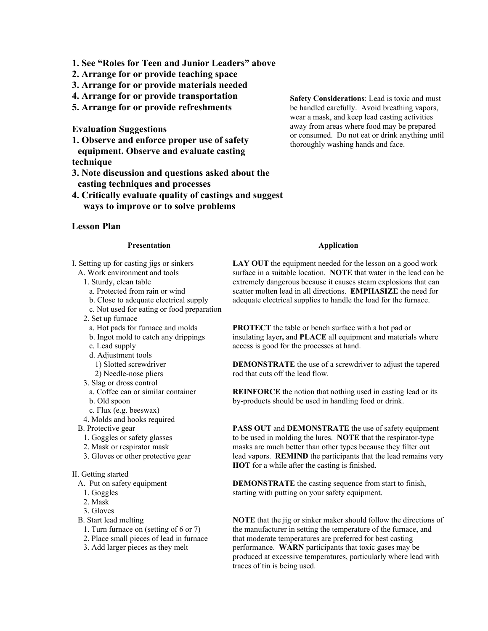- **1. See "Roles for Teen and Junior Leaders" above**
- **2. Arrange for or provide teaching space**
- **3. Arrange for or provide materials needed**
- **4. Arrange for or provide transportation**
- **5. Arrange for or provide refreshments**

**Evaluation Suggestions** 

**1. Observe and enforce proper use of safety equipment. Observe and evaluate casting technique** 

**3. Note discussion and questions asked about the casting techniques and processes** 

**4. Critically evaluate quality of castings and suggest ways to improve or to solve problems**

### **Lesson Plan**

### **Presentation**

I. Setting up for casting jigs or sinkers A. Work environment and tools

- 1. Sturdy, clean table
	- a. Protected from rain or wind
	- b. Close to adequate electrical supply
	- c. Not used for eating or food preparation
- 2. Set up furnace
	- a. Hot pads for furnace and molds
	- b. Ingot mold to catch any drippings
	- c. Lead supply
	- d. Adjustment tools
	- 1) Slotted screwdriver
	- 2) Needle-nose pliers
- 3. Slag or dross control
	- a. Coffee can or similar container
	- b. Old spoon
- c. Flux (e.g. beeswax)
- 4. Molds and hooks required
- B. Protective gear
	- 1. Goggles or safety glasses
	- 2. Mask or respirator mask
	- 3. Gloves or other protective gear

#### II. Getting started

- A. Put on safety equipment
	- 1. Goggles
	- 2. Mask
- 3. Gloves
- B. Start lead melting
	- 1. Turn furnace on (setting of 6 or 7)
	- 2. Place small pieces of lead in furnace
	- 3. Add larger pieces as they melt

**Safety Considerations**: Lead is toxic and must be handled carefully. Avoid breathing vapors, wear a mask, and keep lead casting activities away from areas where food may be prepared or consumed. Do not eat or drink anything until thoroughly washing hands and face.

#### **Application**

LAY OUT the equipment needed for the lesson on a good work surface in a suitable location. **NOTE** that water in the lead can be extremely dangerous because it causes steam explosions that can scatter molten lead in all directions. **EMPHASIZE** the need for adequate electrical supplies to handle the load for the furnace.

**PROTECT** the table or bench surface with a hot pad or insulating layer**,** and **PLACE** all equipment and materials where access is good for the processes at hand.

**DEMONSTRATE** the use of a screwdriver to adjust the tapered rod that cuts off the lead flow.

**REINFORCE** the notion that nothing used in casting lead or its by-products should be used in handling food or drink.

**PASS OUT** and **DEMONSTRATE** the use of safety equipment to be used in molding the lures. **NOTE** that the respirator-type masks are much better than other types because they filter out lead vapors. **REMIND** the participants that the lead remains very **HOT** for a while after the casting is finished.

**DEMONSTRATE** the casting sequence from start to finish, starting with putting on your safety equipment.

**NOTE** that the jig or sinker maker should follow the directions of the manufacturer in setting the temperature of the furnace, and that moderate temperatures are preferred for best casting performance. **WARN** participants that toxic gases may be produced at excessive temperatures, particularly where lead with traces of tin is being used.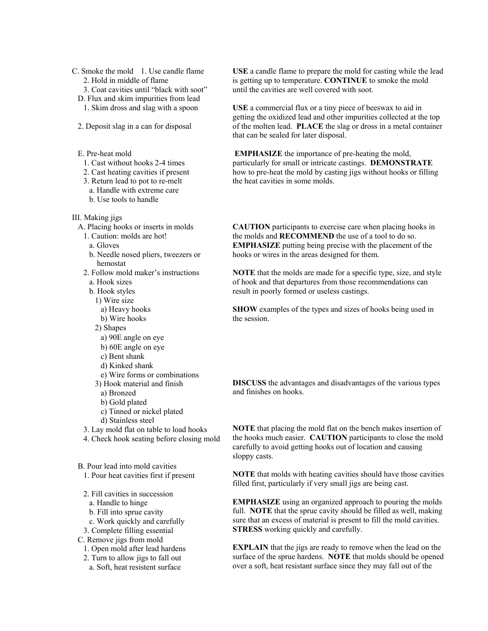- C. Smoke the mold 1. Use candle flame 2. Hold in middle of flame
	-
	- 3. Coat cavities until "black with soot" D. Flux and skim impurities from lead
		- 1. Skim dross and slag with a spoon
	- 2. Deposit slag in a can for disposal
	- E. Pre-heat mold
		- 1. Cast without hooks 2-4 times
		- 2. Cast heating cavities if present
		- 3. Return lead to pot to re-melt
			- a. Handle with extreme care
			- b. Use tools to handle
- III. Making jigs
	- A. Placing hooks or inserts in molds
		- 1. Caution: molds are hot! a. Gloves
		-
		- b. Needle nosed pliers, tweezers or hemostat
		- 2. Follow mold maker's instructions
		- a. Hook sizes
		- b. Hook styles
		- 1) Wire size
			- a) Heavy hooks
			- b) Wire hooks
		- 2) Shapes
			- a) 90Ε angle on eye
			- b) 60Ε angle on eye
			- c) Bent shank
			- d) Kinked shank
			- e) Wire forms or combinations
		- 3) Hook material and finish
			- a) Bronzed
			- b) Gold plated
			- c) Tinned or nickel plated
		- d) Stainless steel
		- 3. Lay mold flat on table to load hooks
		- 4. Check hook seating before closing mold

B. Pour lead into mold cavities 1. Pour heat cavities first if present

- 2. Fill cavities in succession
	- a. Handle to hinge
	- b. Fill into sprue cavity
	- c. Work quickly and carefully
- 3. Complete filling essential
- C. Remove jigs from mold
	- 1. Open mold after lead hardens
	- 2. Turn to allow jigs to fall out
	- a. Soft, heat resistent surface

**USE** a candle flame to prepare the mold for casting while the lead is getting up to temperature. **CONTINUE** to smoke the mold until the cavities are well covered with soot.

**USE** a commercial flux or a tiny piece of beeswax to aid in getting the oxidized lead and other impurities collected at the top of the molten lead. **PLACE** the slag or dross in a metal container that can be sealed for later disposal.

 **EMPHASIZE** the importance of pre-heating the mold, particularly for small or intricate castings. **DEMONSTRATE** how to pre-heat the mold by casting jigs without hooks or filling the heat cavities in some molds.

**CAUTION** participants to exercise care when placing hooks in the molds and **RECOMMEND** the use of a tool to do so. **EMPHASIZE** putting being precise with the placement of the hooks or wires in the areas designed for them.

**NOTE** that the molds are made for a specific type, size, and style of hook and that departures from those recommendations can result in poorly formed or useless castings.

**SHOW** examples of the types and sizes of hooks being used in the session.

**DISCUSS** the advantages and disadvantages of the various types and finishes on hooks.

**NOTE** that placing the mold flat on the bench makes insertion of the hooks much easier. **CAUTION** participants to close the mold carefully to avoid getting hooks out of location and causing sloppy casts.

**NOTE** that molds with heating cavities should have those cavities filled first, particularly if very small jigs are being cast.

**EMPHASIZE** using an organized approach to pouring the molds full. **NOTE** that the sprue cavity should be filled as well, making sure that an excess of material is present to fill the mold cavities. **STRESS** working quickly and carefully.

**EXPLAIN** that the jigs are ready to remove when the lead on the surface of the sprue hardens. **NOTE** that molds should be opened over a soft, heat resistant surface since they may fall out of the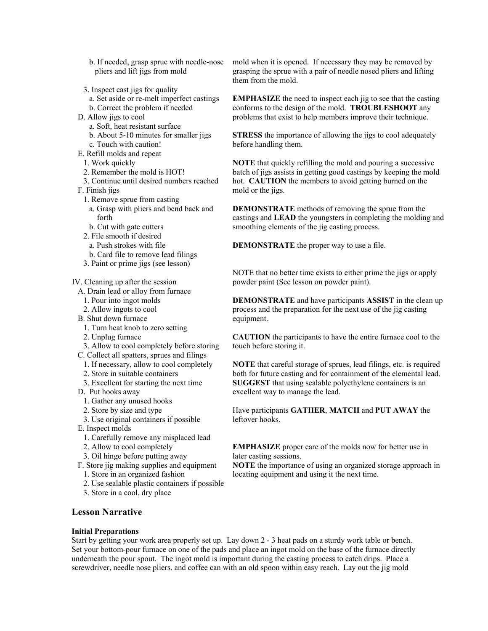b. If needed, grasp sprue with needle-nose pliers and lift jigs from mold

- 3. Inspect cast jigs for quality
- a. Set aside or re-melt imperfect castings
- b. Correct the problem if needed
- D. Allow jigs to cool
	- a. Soft, heat resistant surface
	- b. About 5-10 minutes for smaller jigs
- c. Touch with caution! E. Refill molds and repeat
- 1. Work quickly
- 2. Remember the mold is HOT!
- 3. Continue until desired numbers reached
- F. Finish jigs
	- 1. Remove sprue from casting
	- a. Grasp with pliers and bend back and forth
	- b. Cut with gate cutters
	- 2. File smooth if desired
		- a. Push strokes with file
	- b. Card file to remove lead filings
	- 3. Paint or prime jigs (see lesson)

IV. Cleaning up after the session

- A. Drain lead or alloy from furnace
	- 1. Pour into ingot molds
	- 2. Allow ingots to cool
- B. Shut down furnace
	- 1. Turn heat knob to zero setting
	- 2. Unplug furnace
- 3. Allow to cool completely before storing
- C. Collect all spatters, sprues and filings
- 1. If necessary, allow to cool completely
- 2. Store in suitable containers
- 3. Excellent for starting the next time
- D. Put hooks away
	- 1. Gather any unused hooks
	- 2. Store by size and type
- 3. Use original containers if possible
- E. Inspect molds
	- 1. Carefully remove any misplaced lead
	- 2. Allow to cool completely
	- 3. Oil hinge before putting away
- F. Store jig making supplies and equipment 1. Store in an organized fashion
	-
	- 2. Use sealable plastic containers if possible
	- 3. Store in a cool, dry place

mold when it is opened. If necessary they may be removed by grasping the sprue with a pair of needle nosed pliers and lifting them from the mold.

**EMPHASIZE** the need to inspect each jig to see that the casting conforms to the design of the mold. **TROUBLESHOOT** any problems that exist to help members improve their technique.

**STRESS** the importance of allowing the jigs to cool adequately before handling them.

**NOTE** that quickly refilling the mold and pouring a successive batch of jigs assists in getting good castings by keeping the mold hot. **CAUTION** the members to avoid getting burned on the mold or the jigs.

**DEMONSTRATE** methods of removing the sprue from the castings and **LEAD** the youngsters in completing the molding and smoothing elements of the jig casting process.

**DEMONSTRATE** the proper way to use a file.

NOTE that no better time exists to either prime the jigs or apply powder paint (See lesson on powder paint).

**DEMONSTRATE** and have participants **ASSIST** in the clean up process and the preparation for the next use of the jig casting equipment.

**CAUTION** the participants to have the entire furnace cool to the touch before storing it.

**NOTE** that careful storage of sprues, lead filings, etc. is required both for future casting and for containment of the elemental lead. **SUGGEST** that using sealable polyethylene containers is an excellent way to manage the lead.

Have participants **GATHER**, **MATCH** and **PUT AWAY** the leftover hooks.

**EMPHASIZE** proper care of the molds now for better use in later casting sessions.

**NOTE** the importance of using an organized storage approach in locating equipment and using it the next time.

## **Lesson Narrative**

#### **Initial Preparations**

Start by getting your work area properly set up. Lay down 2 - 3 heat pads on a sturdy work table or bench. Set your bottom-pour furnace on one of the pads and place an ingot mold on the base of the furnace directly underneath the pour spout. The ingot mold is important during the casting process to catch drips. Place a screwdriver, needle nose pliers, and coffee can with an old spoon within easy reach. Lay out the jig mold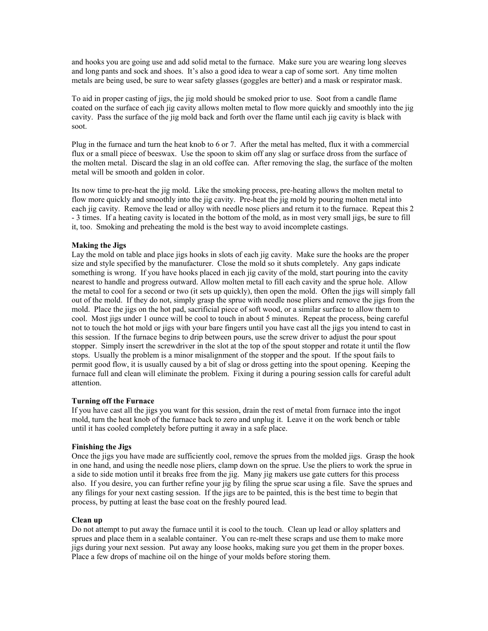and hooks you are going use and add solid metal to the furnace. Make sure you are wearing long sleeves and long pants and sock and shoes. It's also a good idea to wear a cap of some sort. Any time molten metals are being used, be sure to wear safety glasses (goggles are better) and a mask or respirator mask.

To aid in proper casting of jigs, the jig mold should be smoked prior to use. Soot from a candle flame coated on the surface of each jig cavity allows molten metal to flow more quickly and smoothly into the jig cavity. Pass the surface of the jig mold back and forth over the flame until each jig cavity is black with soot.

Plug in the furnace and turn the heat knob to 6 or 7. After the metal has melted, flux it with a commercial flux or a small piece of beeswax. Use the spoon to skim off any slag or surface dross from the surface of the molten metal. Discard the slag in an old coffee can. After removing the slag, the surface of the molten metal will be smooth and golden in color.

Its now time to pre-heat the jig mold. Like the smoking process, pre-heating allows the molten metal to flow more quickly and smoothly into the jig cavity. Pre-heat the jig mold by pouring molten metal into each jig cavity. Remove the lead or alloy with needle nose pliers and return it to the furnace. Repeat this 2 - 3 times. If a heating cavity is located in the bottom of the mold, as in most very small jigs, be sure to fill it, too. Smoking and preheating the mold is the best way to avoid incomplete castings.

### **Making the Jigs**

Lay the mold on table and place jigs hooks in slots of each jig cavity. Make sure the hooks are the proper size and style specified by the manufacturer. Close the mold so it shuts completely. Any gaps indicate something is wrong. If you have hooks placed in each jig cavity of the mold, start pouring into the cavity nearest to handle and progress outward. Allow molten metal to fill each cavity and the sprue hole. Allow the metal to cool for a second or two (it sets up quickly), then open the mold. Often the jigs will simply fall out of the mold. If they do not, simply grasp the sprue with needle nose pliers and remove the jigs from the mold. Place the jigs on the hot pad, sacrificial piece of soft wood, or a similar surface to allow them to cool. Most jigs under 1 ounce will be cool to touch in about 5 minutes. Repeat the process, being careful not to touch the hot mold or jigs with your bare fingers until you have cast all the jigs you intend to cast in this session. If the furnace begins to drip between pours, use the screw driver to adjust the pour spout stopper. Simply insert the screwdriver in the slot at the top of the spout stopper and rotate it until the flow stops. Usually the problem is a minor misalignment of the stopper and the spout. If the spout fails to permit good flow, it is usually caused by a bit of slag or dross getting into the spout opening. Keeping the furnace full and clean will eliminate the problem. Fixing it during a pouring session calls for careful adult attention.

#### **Turning off the Furnace**

If you have cast all the jigs you want for this session, drain the rest of metal from furnace into the ingot mold, turn the heat knob of the furnace back to zero and unplug it. Leave it on the work bench or table until it has cooled completely before putting it away in a safe place.

### **Finishing the Jigs**

Once the jigs you have made are sufficiently cool, remove the sprues from the molded jigs. Grasp the hook in one hand, and using the needle nose pliers, clamp down on the sprue. Use the pliers to work the sprue in a side to side motion until it breaks free from the jig. Many jig makers use gate cutters for this process also. If you desire, you can further refine your jig by filing the sprue scar using a file. Save the sprues and any filings for your next casting session. If the jigs are to be painted, this is the best time to begin that process, by putting at least the base coat on the freshly poured lead.

#### **Clean up**

Do not attempt to put away the furnace until it is cool to the touch. Clean up lead or alloy splatters and sprues and place them in a sealable container. You can re-melt these scraps and use them to make more jigs during your next session. Put away any loose hooks, making sure you get them in the proper boxes. Place a few drops of machine oil on the hinge of your molds before storing them.